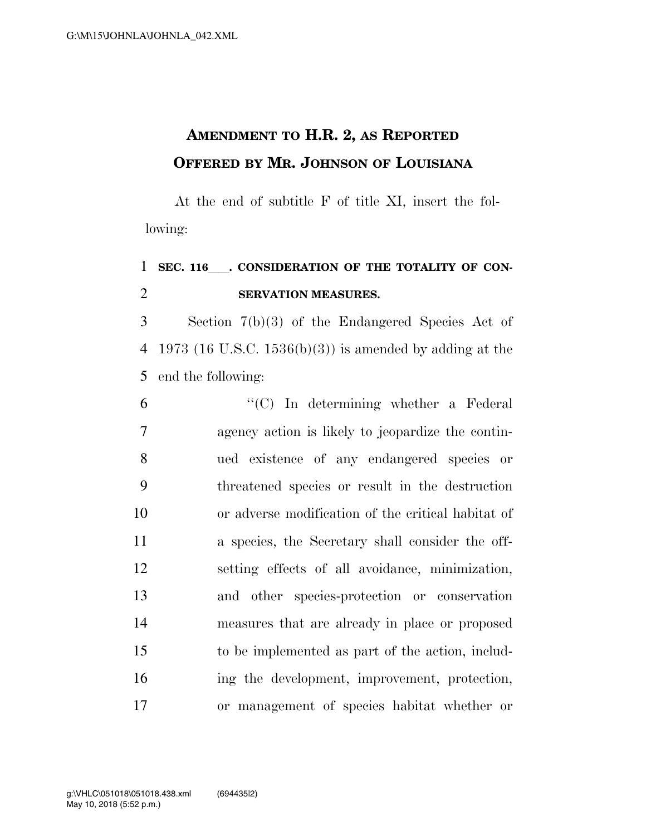## **AMENDMENT TO H.R. 2, AS REPORTED OFFERED BY MR. JOHNSON OF LOUISIANA**

At the end of subtitle F of title XI, insert the following:

## 1 SEC. 116 CONSIDERATION OF THE TOTALITY OF CON-**SERVATION MEASURES.**

 Section 7(b)(3) of the Endangered Species Act of 1973 (16 U.S.C. 1536(b)(3)) is amended by adding at the end the following:

 ''(C) In determining whether a Federal agency action is likely to jeopardize the contin- ued existence of any endangered species or threatened species or result in the destruction or adverse modification of the critical habitat of a species, the Secretary shall consider the off- setting effects of all avoidance, minimization, and other species-protection or conservation measures that are already in place or proposed to be implemented as part of the action, includ- ing the development, improvement, protection, or management of species habitat whether or